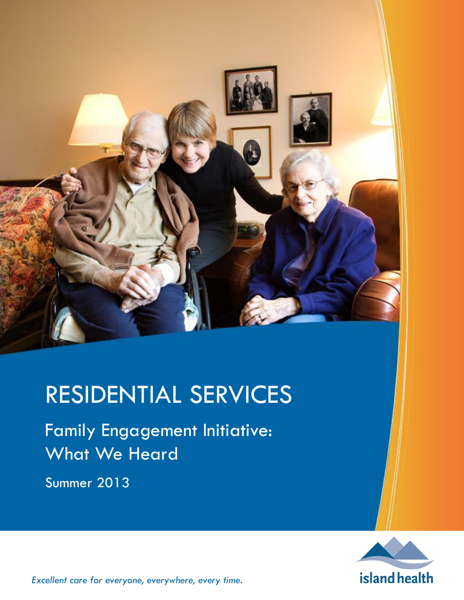

# RESIDENTIAL SERVICES

Family Engagement Initiative: What We Heard

Summer 2013



*Excellent care for everyone, everywhere, every time.*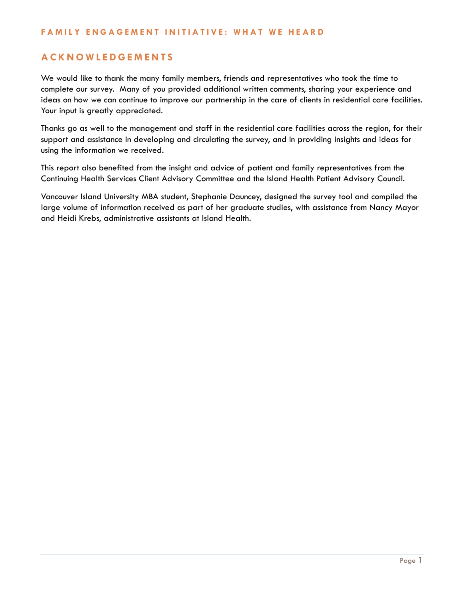# **A C K N O W L E D G E M E N T S**

We would like to thank the many family members, friends and representatives who took the time to complete our survey. Many of you provided additional written comments, sharing your experience and ideas on how we can continue to improve our partnership in the care of clients in residential care facilities. Your input is greatly appreciated.

Thanks go as well to the management and staff in the residential care facilities across the region, for their support and assistance in developing and circulating the survey, and in providing insights and ideas for using the information we received.

This report also benefited from the insight and advice of patient and family representatives from the Continuing Health Services Client Advisory Committee and the Island Health Patient Advisory Council.

Vancouver Island University MBA student, Stephanie Dauncey, designed the survey tool and compiled the large volume of information received as part of her graduate studies, with assistance from Nancy Mayor and Heidi Krebs, administrative assistants at Island Health.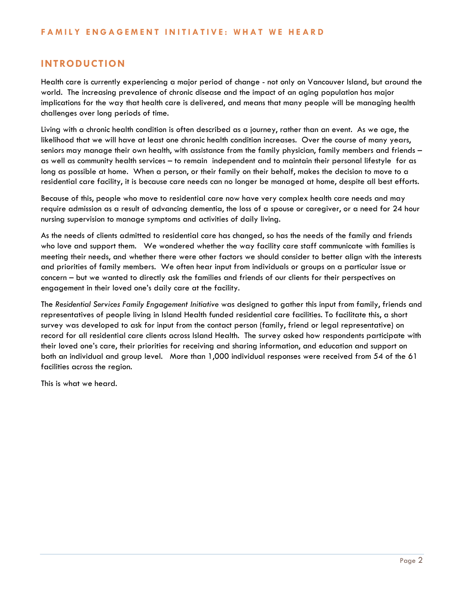# **INTRODUCTION**

Health care is currently experiencing a major period of change - not only on Vancouver Island, but around the world. The increasing prevalence of chronic disease and the impact of an aging population has major implications for the way that health care is delivered, and means that many people will be managing health challenges over long periods of time.

Living with a chronic health condition is often described as a journey, rather than an event. As we age, the likelihood that we will have at least one chronic health condition increases. Over the course of many years, seniors may manage their own health, with assistance from the family physician, family members and friends – as well as community health services – to remain independent and to maintain their personal lifestyle for as long as possible at home. When a person, or their family on their behalf, makes the decision to move to a residential care facility, it is because care needs can no longer be managed at home, despite all best efforts.

Because of this, people who move to residential care now have very complex health care needs and may require admission as a result of advancing dementia, the loss of a spouse or caregiver, or a need for 24 hour nursing supervision to manage symptoms and activities of daily living.

As the needs of clients admitted to residential care has changed, so has the needs of the family and friends who love and support them. We wondered whether the way facility care staff communicate with families is meeting their needs, and whether there were other factors we should consider to better align with the interests and priorities of family members. We often hear input from individuals or groups on a particular issue or concern – but we wanted to directly ask the families and friends of our clients for their perspectives on engagement in their loved one's daily care at the facility.

The *Residential Services Family Engagement Initiative* was designed to gather this input from family, friends and representatives of people living in Island Health funded residential care facilities. To facilitate this, a short survey was developed to ask for input from the contact person (family, friend or legal representative) on record for all residential care clients across Island Health. The survey asked how respondents participate with their loved one's care, their priorities for receiving and sharing information, and education and support on both an individual and group level. More than 1,000 individual responses were received from 54 of the 61 facilities across the region.

This is what we heard.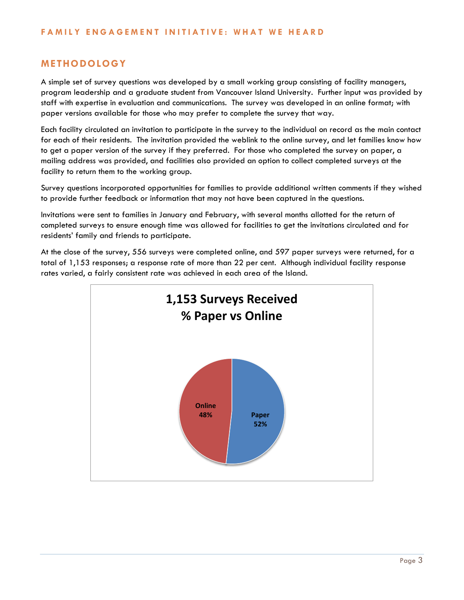# **METHODOLOGY**

A simple set of survey questions was developed by a small working group consisting of facility managers, program leadership and a graduate student from Vancouver Island University. Further input was provided by staff with expertise in evaluation and communications. The survey was developed in an online format; with paper versions available for those who may prefer to complete the survey that way.

Each facility circulated an invitation to participate in the survey to the individual on record as the main contact for each of their residents. The invitation provided the weblink to the online survey, and let families know how to get a paper version of the survey if they preferred. For those who completed the survey on paper, a mailing address was provided, and facilities also provided an option to collect completed surveys at the facility to return them to the working group.

Survey questions incorporated opportunities for families to provide additional written comments if they wished to provide further feedback or information that may not have been captured in the questions.

Invitations were sent to families in January and February, with several months allotted for the return of completed surveys to ensure enough time was allowed for facilities to get the invitations circulated and for residents' family and friends to participate.

At the close of the survey, 556 surveys were completed online, and 597 paper surveys were returned, for a total of 1,153 responses; a response rate of more than 22 per cent. Although individual facility response rates varied, a fairly consistent rate was achieved in each area of the Island.

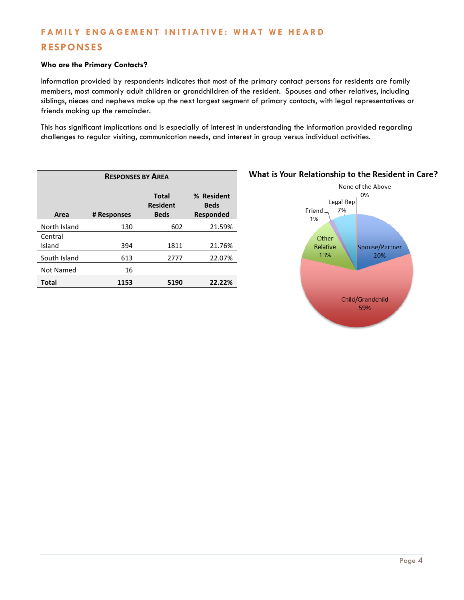# **RESPONSES**

#### **Who are the Primary Contacts?**

Information provided by respondents indicates that most of the primary contact persons for residents are family members, most commonly adult children or grandchildren of the resident. Spouses and other relatives, including siblings, nieces and nephews make up the next largest segment of primary contacts, with legal representatives or friends making up the remainder.

This has significant implications and is especially of interest in understanding the information provided regarding challenges to regular visiting, communication needs, and interest in group versus individual activities.

| <b>RESPONSES BY AREA</b> |             |                                                |                                        |
|--------------------------|-------------|------------------------------------------------|----------------------------------------|
| Area                     | # Responses | <b>Total</b><br><b>Resident</b><br><b>Beds</b> | % Resident<br><b>Beds</b><br>Responded |
| North Island             | 130         | 602                                            | 21.59%                                 |
| Central<br>Island        | 394         | 1811                                           | 21.76%                                 |
| South Island             | 613         | 2777                                           | 22.07%                                 |
| Not Named                | 16          |                                                |                                        |
| <b>Total</b>             | 1153        | 5190                                           | 22.22%                                 |



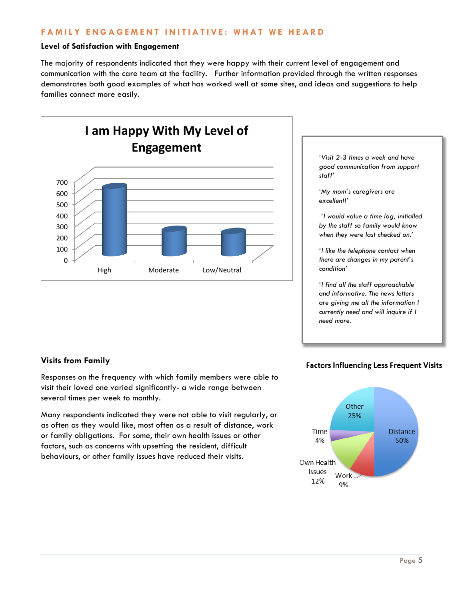#### **Level of Satisfaction with Engagement**

The majority of respondents indicated that they were happy with their current level of engagement and communication with the care team at the facility. Further information provided through the written responses demonstrates both good examples of what has worked well at some sites, and ideas and suggestions to help families connect more easily.



## **Visits from Family**

Responses on the frequency with which family members were able to visit their loved one varied significantly- a wide range between several times per week to monthly.

Many respondents indicated they were not able to visit regularly, or as often as they would like, most often as a result of distance, work or family obligations. For some, their own health issues or other factors, such as concerns with upsetting the resident, difficult behaviours, or other family issues have reduced their visits.

## **Factors Influencing Less Frequent Visits**

*'Visit 2-3 times a week and have good communication from support* 

*'I would value a time log, initialled by the staff so family would know when they were last checked on.'*

*'I like the telephone contact when there are changes in my parent's* 

*'I find all the staff approachable and informative. The news letters are giving me all the information I currently need and will inquire if I* 

*'My mom's caregivers are* 

*staff'*

*excellent!'*

*condition'*

*need more.*

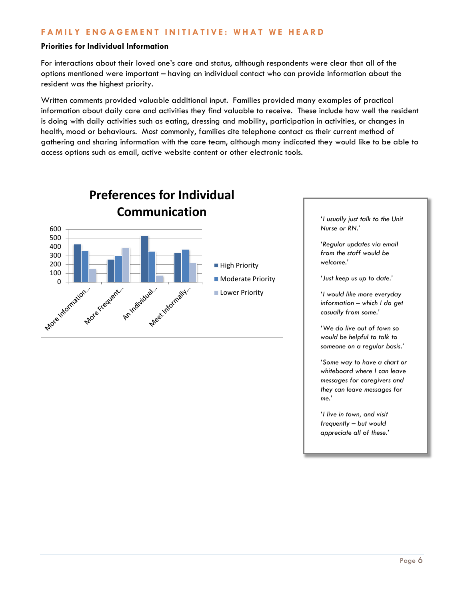#### **Priorities for Individual Information**

For interactions about their loved one's care and status, although respondents were clear that all of the options mentioned were important – having an individual contact who can provide information about the resident was the highest priority.

Written comments provided valuable additional input. Families provided many examples of practical information about daily care and activities they find valuable to receive. These include how well the resident is doing with daily activities such as eating, dressing and mobility, participation in activities, or changes in health, mood or behaviours. Most commonly, families cite telephone contact as their current method of gathering and sharing information with the care team, although many indicated they would like to be able to access options such as email, active website content or other electronic tools.



*'I usually just talk to the Unit Nurse or RN.'* 

*'Regular updates via email from the staff would be welcome.'*

*'Just keep us up to date.'*

*'I would like more everyday information – which I do get casually from some.'*

*'We do live out of town so would be helpful to talk to someone on a regular basis.'*

*'Some way to have a chart or whiteboard where I can leave messages for caregivers and they can leave messages for me.'*

*'I live in town, and visit frequently – but would appreciate all of these.'*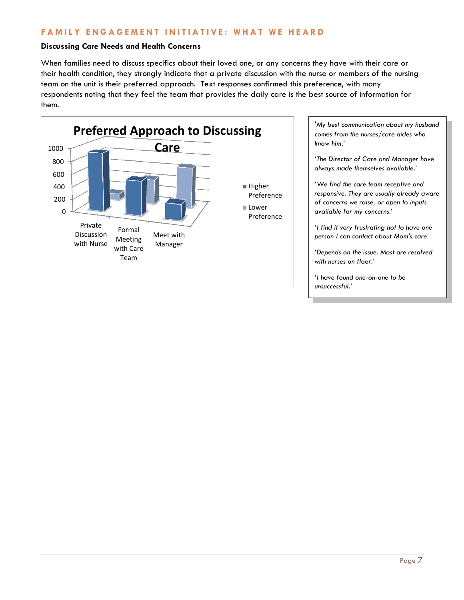#### **Discussing Care Needs and Health Concerns**

When families need to discuss specifics about their loved one, or any concerns they have with their care or their health condition, they strongly indicate that a private discussion with the nurse or members of the nursing team on the unit is their preferred approach. Text responses confirmed this preference, with many respondents noting that they feel the team that provides the daily care is the best source of information for them.



'*My best communication about my husband comes from the nurses/care aides who know him.'*

*'The Director of Care and Manager have always made themselves available.'* 

*'We find the care team receptive and responsive. They are usually already aware of concerns we raise, or open to inputs available for my concerns.'*

*'I find it very frustrating not to have one person I can contact about Mom's care'*

*'Depends on the issue. Most are resolved with nurses on floor.'*

*'I have found one-on-one to be unsuccessful.'*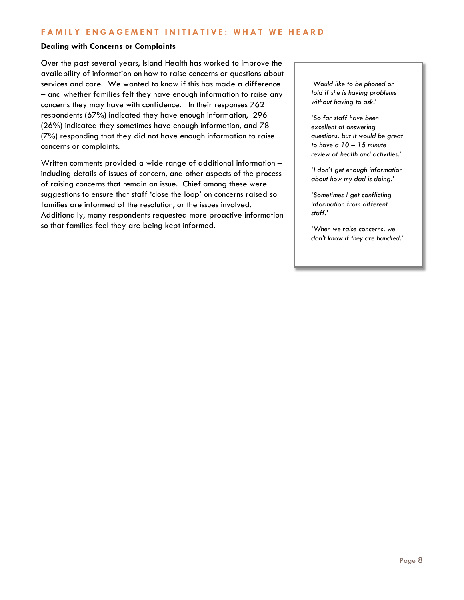#### **Dealing with Concerns or Complaints**

Over the past several years, Island Health has worked to improve the availability of information on how to raise concerns or questions about services and care. We wanted to know if this has made a difference – and whether families felt they have enough information to raise any concerns they may have with confidence. In their responses 762 respondents (67%) indicated they have enough information, 296 (26%) indicated they sometimes have enough information, and 78 (7%) responding that they did not have enough information to raise concerns or complaints.

Written comments provided a wide range of additional information – including details of issues of concern, and other aspects of the process of raising concerns that remain an issue. Chief among these were suggestions to ensure that staff 'close the loop' on concerns raised so families are informed of the resolution, or the issues involved. Additionally, many respondents requested more proactive information so that families feel they are being kept informed.

'*Would like to be phoned or told if she is having problems without having to ask.'*

*'So far staff have been excellent at answering questions, but it would be great to have a 10 – 15 minute review of health and activities.'*

*'I don't get enough information about how my dad is doing.'*

*'Sometimes I get conflicting information from different staff.'*

*'When we raise concerns, we don't know if they are handled.'*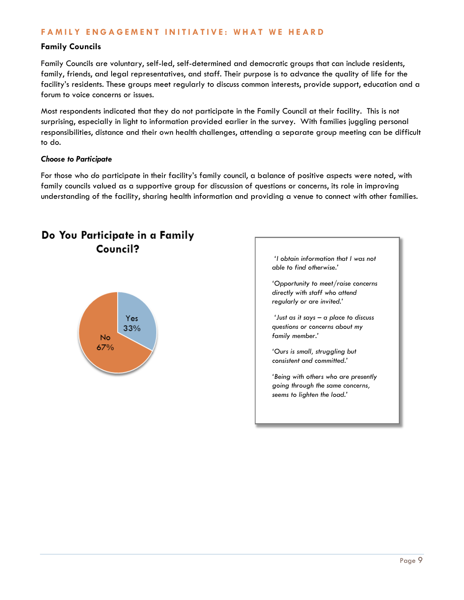#### **Family Councils**

Family Councils are voluntary, self-led, self-determined and democratic groups that can include residents, family, friends, and legal representatives, and staff. Their purpose is to advance the quality of life for the facility's residents. These groups meet regularly to discuss common interests, provide support, education and a forum to voice concerns or issues.

Most respondents indicated that they do not participate in the Family Council at their facility. This is not surprising, especially in light to information provided earlier in the survey. With families juggling personal responsibilities, distance and their own health challenges, attending a separate group meeting can be difficult to do.

#### *Choose to Participate*

For those who *do* participate in their facility's family council, a balance of positive aspects were noted, with family councils valued as a supportive group for discussion of questions or concerns, its role in improving understanding of the facility, sharing health information and providing a venue to connect with other families.



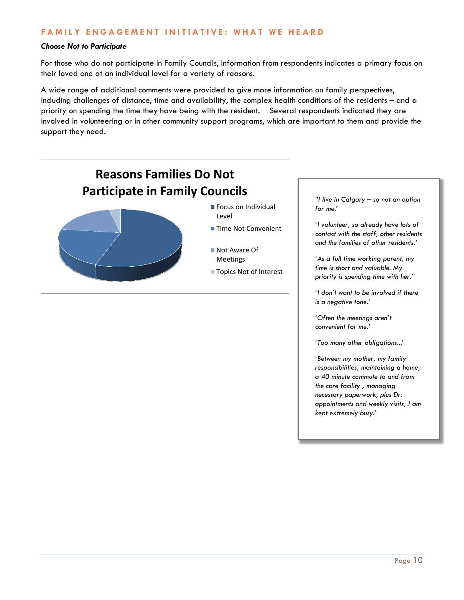#### *Choose Not to Participate*

For those who do not participate in Family Councils, information from respondents indicates a primary focus on their loved one at an individual level for a variety of reasons.

A wide range of additional comments were provided to give more information on family perspectives, including challenges of distance, time and availability, the complex health conditions of the residents – and a priority on spending the time they have being with the resident. Several respondents indicated they are involved in volunteering or in other community support programs, which are important to them and provide the support they need.



Page 10

*'Often the meetings aren't convenient for me.'*

*'Too many other obligations...'*

*'Between my mother, my family responsibilities, maintaining a home, a 40 minute commute to and from the care facility , managing necessary paperwork, plus Dr. appointments and weekly visits, I am* 

*kept extremely busy.'*